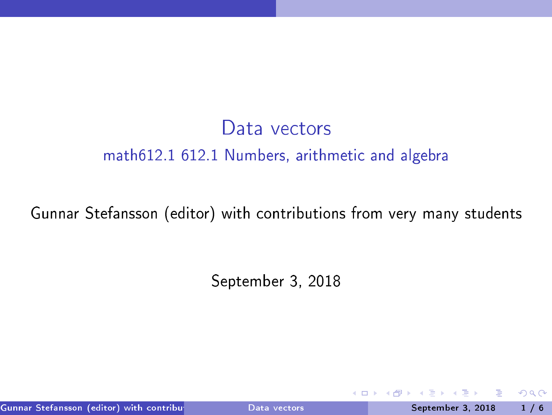# Data vectors math612.1 612.1 Numbers, arithmeti and algebra

#### Gunnar Stefansson (editor) with ontributions from very many students

September 3, <sup>2018</sup>

Gunnar Stefansson (editor) with contributions of the students of the students of the September 3, 2018 1 / 6

4 0 8

<span id="page-0-0"></span> $298$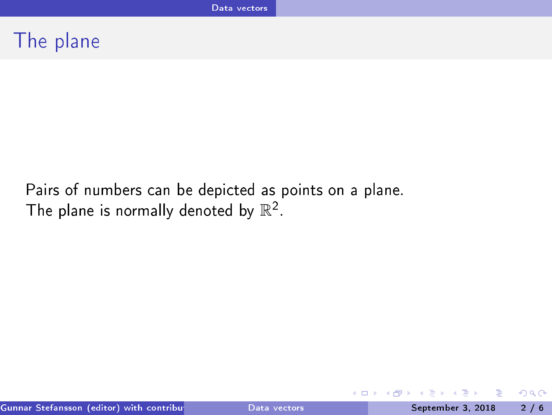# The plane

Pairs of numbers can be depicted as points on a plane. The plane is normally denoted by  $\mathbb{R}^2$ .

э

 $\equiv$ 

<span id="page-1-0"></span> $QQ$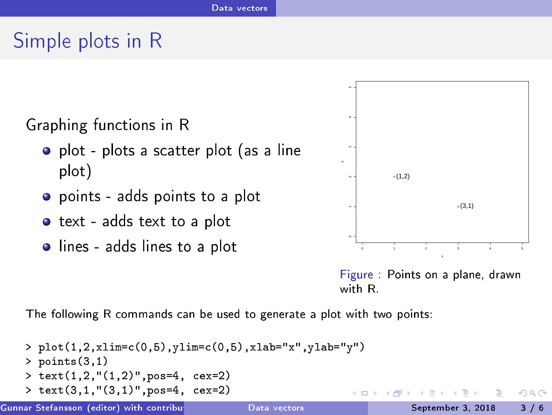# Simple plots in <sup>R</sup>



- plot plots a scatter plot (as a line plot)
- points adds points to <sup>a</sup> plot
- o text adds text to a plot
- 



<span id="page-2-0"></span>Figure : Points on <sup>a</sup> plane, drawn with R

The following R commands can be used to generate a plot with two points:

```
> plot(1,2,xlim=
(0,5),ylim=
(0,5),xlab="x",ylab="y")
    > points(3,1)
   > text(1,2,"(1,2)",pos=4, cex=2)
    > text(3,1,"(3,1)", pos=4, cex=2)
                                                                                        QQGunnar Stefansson (editor) with 
ontributions from veryData manyve
tors students September 3, 2018 3 / 6
```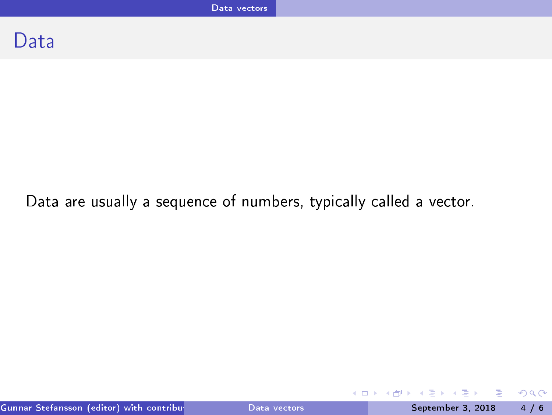## Data

### Data are usually a sequence of numbers, typically called a vector.

E

<span id="page-3-0"></span> $298$ 

 $\rightarrow$   $\Rightarrow$   $\rightarrow$ 

÷  $\mathbf{p}$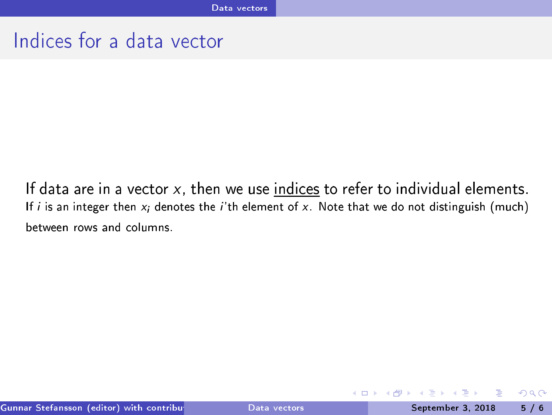# Indices for a data vector

If data are in a vector  $x$ , then we use indices to refer to individual elements. If i is an integer then  $x_i$  denotes the i'th element of  $x$ . Note that we do not distinguish (much) between rows and columns.

<span id="page-4-0"></span> $QQ$